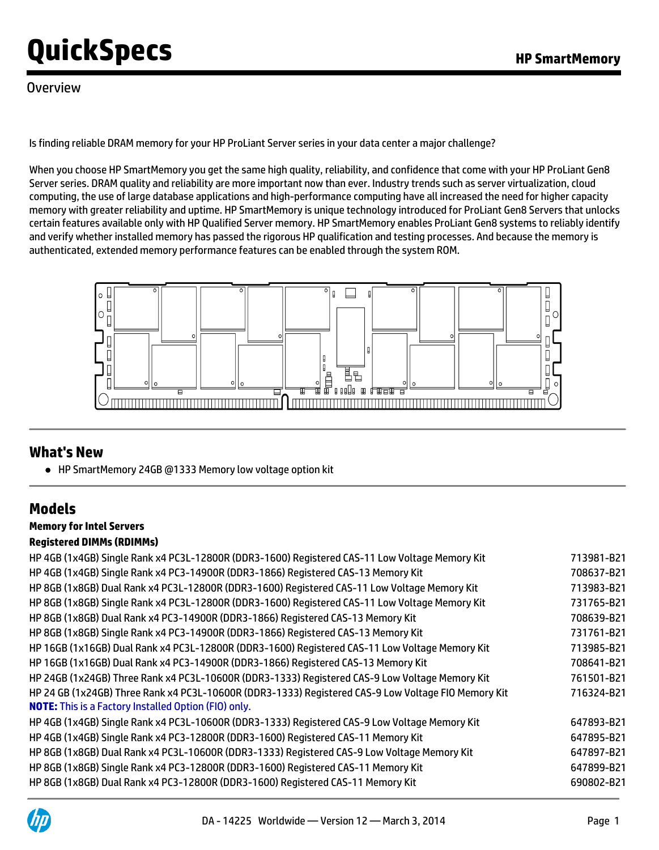### **Overview**

Is finding reliable DRAM memory for your HP ProLiant Server series in your data center a major challenge?

When you choose HP SmartMemory you get the same high quality, reliability, and confidence that come with your HP ProLiant Gen8 Server series. DRAM quality and reliability are more important now than ever. Industry trends such as server virtualization, cloud computing, the use of large database applications and high-performance computing have all increased the need for higher capacity memory with greater reliability and uptime. HP SmartMemory is unique technology introduced for ProLiant Gen8 Servers that unlocks certain features available only with HP Qualified Server memory. HP SmartMemory enables ProLiant Gen8 systems to reliably identify and verify whether installed memory has passed the rigorous HP qualification and testing processes. And because the memory is authenticated, extended memory performance features can be enabled through the system ROM.



### **What's New**

● HP SmartMemory 24GB @1333 Memory low voltage option kit

### **Models**

### **Memory for Intel Servers**

### **Registered DIMMs (RDIMMs)**

| HP 4GB (1x4GB) Single Rank x4 PC3L-12800R (DDR3-1600) Registered CAS-11 Low Voltage Memory Kit                                                                     | 713981-B21 |
|--------------------------------------------------------------------------------------------------------------------------------------------------------------------|------------|
| HP 4GB (1x4GB) Single Rank x4 PC3-14900R (DDR3-1866) Registered CAS-13 Memory Kit                                                                                  | 708637-B21 |
| HP 8GB (1x8GB) Dual Rank x4 PC3L-12800R (DDR3-1600) Registered CAS-11 Low Voltage Memory Kit                                                                       | 713983-B21 |
| HP 8GB (1x8GB) Single Rank x4 PC3L-12800R (DDR3-1600) Registered CAS-11 Low Voltage Memory Kit                                                                     | 731765-B21 |
| HP 8GB (1x8GB) Dual Rank x4 PC3-14900R (DDR3-1866) Registered CAS-13 Memory Kit                                                                                    | 708639-B21 |
| HP 8GB (1x8GB) Single Rank x4 PC3-14900R (DDR3-1866) Registered CAS-13 Memory Kit                                                                                  | 731761-B21 |
| HP 16GB (1x16GB) Dual Rank x4 PC3L-12800R (DDR3-1600) Registered CAS-11 Low Voltage Memory Kit                                                                     | 713985-B21 |
| HP 16GB (1x16GB) Dual Rank x4 PC3-14900R (DDR3-1866) Registered CAS-13 Memory Kit                                                                                  | 708641-B21 |
| HP 24GB (1x24GB) Three Rank x4 PC3L-10600R (DDR3-1333) Registered CAS-9 Low Voltage Memory Kit                                                                     | 761501-B21 |
| HP 24 GB (1x24GB) Three Rank x4 PC3L-10600R (DDR3-1333) Registered CAS-9 Low Voltage FIO Memory Kit<br><b>NOTE:</b> This is a Factory Installed Option (FIO) only. | 716324-B21 |
| HP 4GB (1x4GB) Single Rank x4 PC3L-10600R (DDR3-1333) Registered CAS-9 Low Voltage Memory Kit                                                                      | 647893-B21 |
| HP 4GB (1x4GB) Single Rank x4 PC3-12800R (DDR3-1600) Registered CAS-11 Memory Kit                                                                                  | 647895-B21 |
| HP 8GB (1x8GB) Dual Rank x4 PC3L-10600R (DDR3-1333) Registered CAS-9 Low Voltage Memory Kit                                                                        | 647897-B21 |
| HP 8GB (1x8GB) Single Rank x4 PC3-12800R (DDR3-1600) Registered CAS-11 Memory Kit                                                                                  | 647899-B21 |
| HP 8GB (1x8GB) Dual Rank x4 PC3-12800R (DDR3-1600) Registered CAS-11 Memory Kit                                                                                    | 690802-B21 |
|                                                                                                                                                                    |            |

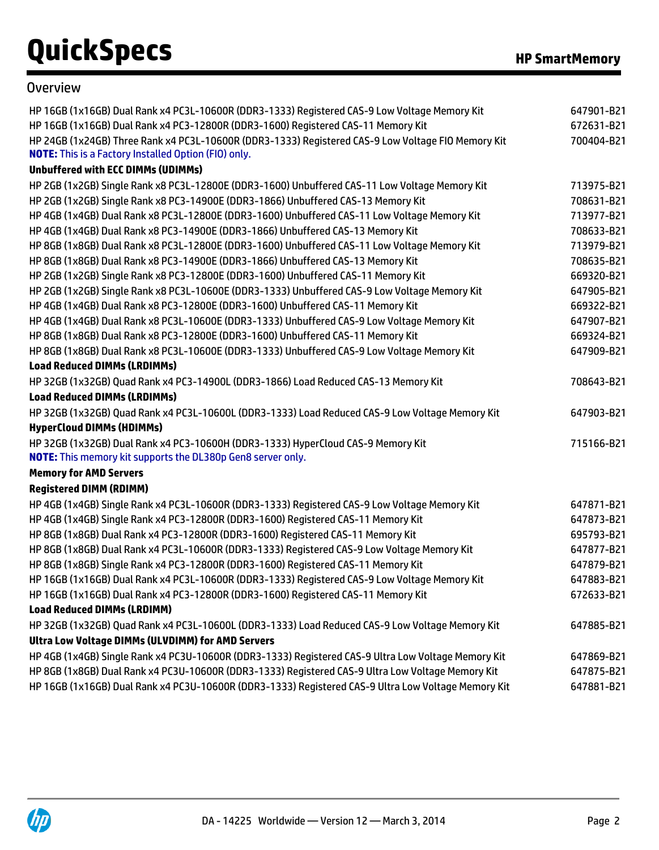### **Overview**

| HP 16GB (1x16GB) Dual Rank x4 PC3L-10600R (DDR3-1333) Registered CAS-9 Low Voltage Memory Kit       | 647901-B21 |
|-----------------------------------------------------------------------------------------------------|------------|
| HP 16GB (1x16GB) Dual Rank x4 PC3-12800R (DDR3-1600) Registered CAS-11 Memory Kit                   | 672631-B21 |
| HP 24GB (1x24GB) Three Rank x4 PC3L-10600R (DDR3-1333) Registered CAS-9 Low Voltage FIO Memory Kit  | 700404-B21 |
| <b>NOTE:</b> This is a Factory Installed Option (FIO) only.                                         |            |
| <b>Unbuffered with ECC DIMMs (UDIMMs)</b>                                                           |            |
| HP 2GB (1x2GB) Single Rank x8 PC3L-12800E (DDR3-1600) Unbuffered CAS-11 Low Voltage Memory Kit      | 713975-B21 |
| HP 2GB (1x2GB) Single Rank x8 PC3-14900E (DDR3-1866) Unbuffered CAS-13 Memory Kit                   | 708631-B21 |
| HP 4GB (1x4GB) Dual Rank x8 PC3L-12800E (DDR3-1600) Unbuffered CAS-11 Low Voltage Memory Kit        | 713977-B21 |
| HP 4GB (1x4GB) Dual Rank x8 PC3-14900E (DDR3-1866) Unbuffered CAS-13 Memory Kit                     | 708633-B21 |
| HP 8GB (1x8GB) Dual Rank x8 PC3L-12800E (DDR3-1600) Unbuffered CAS-11 Low Voltage Memory Kit        | 713979-B21 |
| HP 8GB (1x8GB) Dual Rank x8 PC3-14900E (DDR3-1866) Unbuffered CAS-13 Memory Kit                     | 708635-B21 |
| HP 2GB (1x2GB) Single Rank x8 PC3-12800E (DDR3-1600) Unbuffered CAS-11 Memory Kit                   | 669320-B21 |
| HP 2GB (1x2GB) Single Rank x8 PC3L-10600E (DDR3-1333) Unbuffered CAS-9 Low Voltage Memory Kit       | 647905-B21 |
| HP 4GB (1x4GB) Dual Rank x8 PC3-12800E (DDR3-1600) Unbuffered CAS-11 Memory Kit                     | 669322-B21 |
| HP 4GB (1x4GB) Dual Rank x8 PC3L-10600E (DDR3-1333) Unbuffered CAS-9 Low Voltage Memory Kit         | 647907-B21 |
| HP 8GB (1x8GB) Dual Rank x8 PC3-12800E (DDR3-1600) Unbuffered CAS-11 Memory Kit                     | 669324-B21 |
| HP 8GB (1x8GB) Dual Rank x8 PC3L-10600E (DDR3-1333) Unbuffered CAS-9 Low Voltage Memory Kit         | 647909-B21 |
| <b>Load Reduced DIMMs (LRDIMMs)</b>                                                                 |            |
| HP 32GB (1x32GB) Quad Rank x4 PC3-14900L (DDR3-1866) Load Reduced CAS-13 Memory Kit                 | 708643-B21 |
| <b>Load Reduced DIMMs (LRDIMMs)</b>                                                                 |            |
| HP 32GB (1x32GB) Quad Rank x4 PC3L-10600L (DDR3-1333) Load Reduced CAS-9 Low Voltage Memory Kit     | 647903-B21 |
| <b>HyperCloud DIMMs (HDIMMs)</b>                                                                    |            |
| HP 32GB (1x32GB) Dual Rank x4 PC3-10600H (DDR3-1333) HyperCloud CAS-9 Memory Kit                    | 715166-B21 |
| NOTE: This memory kit supports the DL380p Gen8 server only.                                         |            |
| <b>Memory for AMD Servers</b>                                                                       |            |
| <b>Registered DIMM (RDIMM)</b>                                                                      |            |
| HP 4GB (1x4GB) Single Rank x4 PC3L-10600R (DDR3-1333) Registered CAS-9 Low Voltage Memory Kit       | 647871-B21 |
| HP 4GB (1x4GB) Single Rank x4 PC3-12800R (DDR3-1600) Registered CAS-11 Memory Kit                   | 647873-B21 |
| HP 8GB (1x8GB) Dual Rank x4 PC3-12800R (DDR3-1600) Registered CAS-11 Memory Kit                     | 695793-B21 |
| HP 8GB (1x8GB) Dual Rank x4 PC3L-10600R (DDR3-1333) Registered CAS-9 Low Voltage Memory Kit         | 647877-B21 |
| HP 8GB (1x8GB) Single Rank x4 PC3-12800R (DDR3-1600) Registered CAS-11 Memory Kit                   | 647879-B21 |
| HP 16GB (1x16GB) Dual Rank x4 PC3L-10600R (DDR3-1333) Registered CAS-9 Low Voltage Memory Kit       | 647883-B21 |
| HP 16GB (1x16GB) Dual Rank x4 PC3-12800R (DDR3-1600) Registered CAS-11 Memory Kit                   | 672633-B21 |
| <b>Load Reduced DIMMs (LRDIMM)</b>                                                                  |            |
| HP 32GB (1x32GB) Quad Rank x4 PC3L-10600L (DDR3-1333) Load Reduced CAS-9 Low Voltage Memory Kit     | 647885-B21 |
| Ultra Low Voltage DIMMs (ULVDIMM) for AMD Servers                                                   |            |
| HP 4GB (1x4GB) Single Rank x4 PC3U-10600R (DDR3-1333) Registered CAS-9 Ultra Low Voltage Memory Kit | 647869-B21 |
| HP 8GB (1x8GB) Dual Rank x4 PC3U-10600R (DDR3-1333) Registered CAS-9 Ultra Low Voltage Memory Kit   | 647875-B21 |
| HP 16GB (1x16GB) Dual Rank x4 PC3U-10600R (DDR3-1333) Registered CAS-9 Ultra Low Voltage Memory Kit | 647881-B21 |

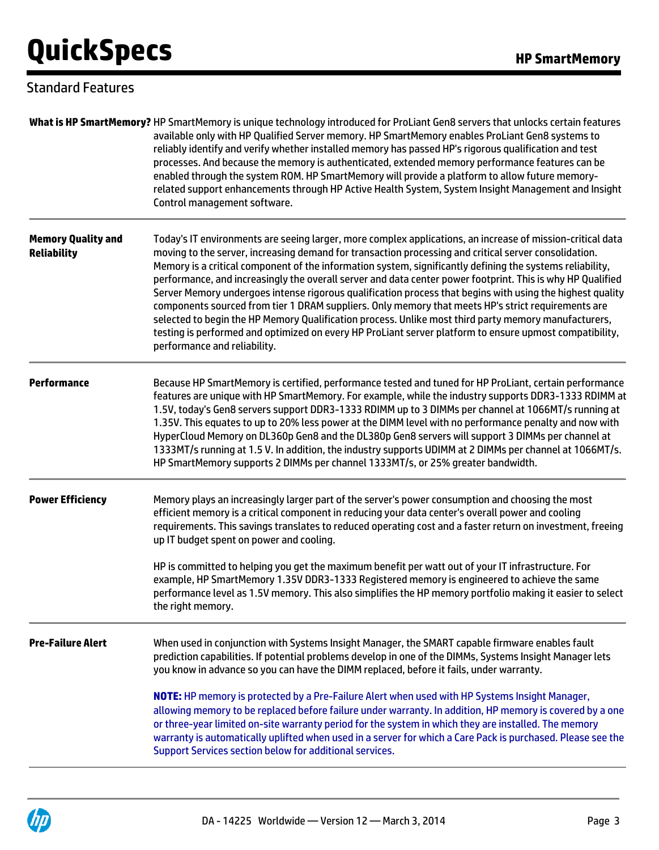### Standard Features

|                                                 | What is HP SmartMemory? HP SmartMemory is unique technology introduced for ProLiant Gen8 servers that unlocks certain features<br>available only with HP Qualified Server memory. HP SmartMemory enables ProLiant Gen8 systems to<br>reliably identify and verify whether installed memory has passed HP's rigorous qualification and test<br>processes. And because the memory is authenticated, extended memory performance features can be<br>enabled through the system ROM. HP SmartMemory will provide a platform to allow future memory-<br>related support enhancements through HP Active Health System, System Insight Management and Insight<br>Control management software.                                                                                                                                                                                                                               |
|-------------------------------------------------|----------------------------------------------------------------------------------------------------------------------------------------------------------------------------------------------------------------------------------------------------------------------------------------------------------------------------------------------------------------------------------------------------------------------------------------------------------------------------------------------------------------------------------------------------------------------------------------------------------------------------------------------------------------------------------------------------------------------------------------------------------------------------------------------------------------------------------------------------------------------------------------------------------------------|
| <b>Memory Quality and</b><br><b>Reliability</b> | Today's IT environments are seeing larger, more complex applications, an increase of mission-critical data<br>moving to the server, increasing demand for transaction processing and critical server consolidation.<br>Memory is a critical component of the information system, significantly defining the systems reliability,<br>performance, and increasingly the overall server and data center power footprint. This is why HP Qualified<br>Server Memory undergoes intense rigorous qualification process that begins with using the highest quality<br>components sourced from tier 1 DRAM suppliers. Only memory that meets HP's strict requirements are<br>selected to begin the HP Memory Qualification process. Unlike most third party memory manufacturers,<br>testing is performed and optimized on every HP ProLiant server platform to ensure upmost compatibility,<br>performance and reliability. |
| <b>Performance</b>                              | Because HP SmartMemory is certified, performance tested and tuned for HP ProLiant, certain performance<br>features are unique with HP SmartMemory. For example, while the industry supports DDR3-1333 RDIMM at<br>1.5V, today's Gen8 servers support DDR3-1333 RDIMM up to 3 DIMMs per channel at 1066MT/s running at<br>1.35V. This equates to up to 20% less power at the DIMM level with no performance penalty and now with<br>HyperCloud Memory on DL360p Gen8 and the DL380p Gen8 servers will support 3 DIMMs per channel at<br>1333MT/s running at 1.5 V. In addition, the industry supports UDIMM at 2 DIMMs per channel at 1066MT/s.<br>HP SmartMemory supports 2 DIMMs per channel 1333MT/s, or 25% greater bandwidth.                                                                                                                                                                                    |
| <b>Power Efficiency</b>                         | Memory plays an increasingly larger part of the server's power consumption and choosing the most<br>efficient memory is a critical component in reducing your data center's overall power and cooling<br>requirements. This savings translates to reduced operating cost and a faster return on investment, freeing<br>up IT budget spent on power and cooling.                                                                                                                                                                                                                                                                                                                                                                                                                                                                                                                                                      |
|                                                 | HP is committed to helping you get the maximum benefit per watt out of your IT infrastructure. For<br>example, HP SmartMemory 1.35V DDR3-1333 Registered memory is engineered to achieve the same<br>performance level as 1.5V memory. This also simplifies the HP memory portfolio making it easier to select<br>the right memory.                                                                                                                                                                                                                                                                                                                                                                                                                                                                                                                                                                                  |
| <b>Pre-Failure Alert</b>                        | When used in conjunction with Systems Insight Manager, the SMART capable firmware enables fault<br>prediction capabilities. If potential problems develop in one of the DIMMs, Systems Insight Manager lets<br>you know in advance so you can have the DIMM replaced, before it fails, under warranty.                                                                                                                                                                                                                                                                                                                                                                                                                                                                                                                                                                                                               |
|                                                 | NOTE: HP memory is protected by a Pre-Failure Alert when used with HP Systems Insight Manager,<br>allowing memory to be replaced before failure under warranty. In addition, HP memory is covered by a one<br>or three-year limited on-site warranty period for the system in which they are installed. The memory<br>warranty is automatically uplifted when used in a server for which a Care Pack is purchased. Please see the<br>Support Services section below for additional services.                                                                                                                                                                                                                                                                                                                                                                                                                         |

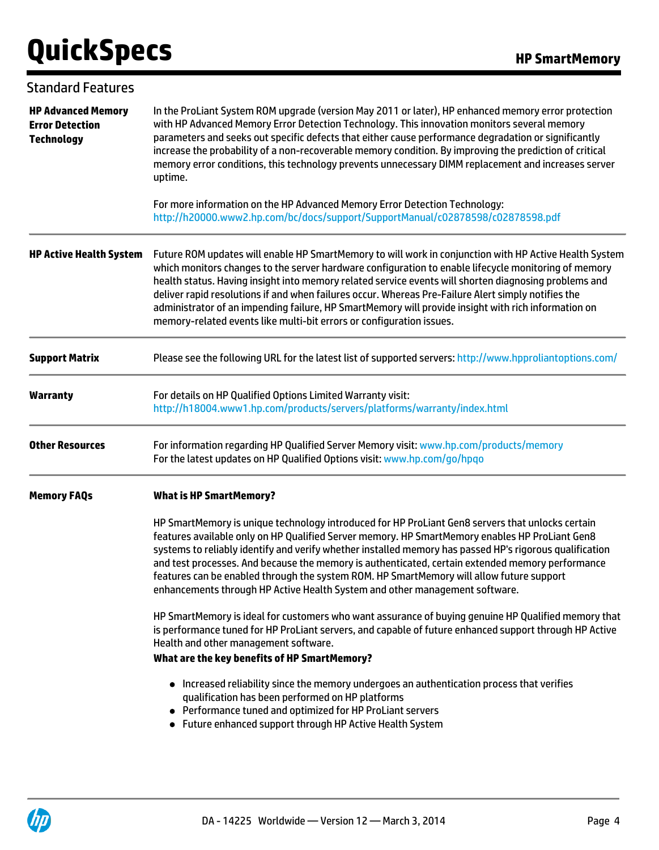| <b>Standard Features</b>                                                 |                                                                                                                                                                                                                                                                                                                                                                                                                                                                                                                                                                                                               |
|--------------------------------------------------------------------------|---------------------------------------------------------------------------------------------------------------------------------------------------------------------------------------------------------------------------------------------------------------------------------------------------------------------------------------------------------------------------------------------------------------------------------------------------------------------------------------------------------------------------------------------------------------------------------------------------------------|
| <b>HP Advanced Memory</b><br><b>Error Detection</b><br><b>Technology</b> | In the ProLiant System ROM upgrade (version May 2011 or later), HP enhanced memory error protection<br>with HP Advanced Memory Error Detection Technology. This innovation monitors several memory<br>parameters and seeks out specific defects that either cause performance degradation or significantly<br>increase the probability of a non-recoverable memory condition. By improving the prediction of critical<br>memory error conditions, this technology prevents unnecessary DIMM replacement and increases server<br>uptime.                                                                       |
|                                                                          | For more information on the HP Advanced Memory Error Detection Technology:<br>http://h20000.www2.hp.com/bc/docs/support/SupportManual/c02878598/c02878598.pdf                                                                                                                                                                                                                                                                                                                                                                                                                                                 |
| <b>HP Active Health System</b>                                           | Future ROM updates will enable HP SmartMemory to will work in conjunction with HP Active Health System<br>which monitors changes to the server hardware configuration to enable lifecycle monitoring of memory<br>health status. Having insight into memory related service events will shorten diagnosing problems and<br>deliver rapid resolutions if and when failures occur. Whereas Pre-Failure Alert simply notifies the<br>administrator of an impending failure, HP SmartMemory will provide insight with rich information on<br>memory-related events like multi-bit errors or configuration issues. |
| <b>Support Matrix</b>                                                    | Please see the following URL for the latest list of supported servers: http://www.hpproliantoptions.com/                                                                                                                                                                                                                                                                                                                                                                                                                                                                                                      |
| <b>Warranty</b>                                                          | For details on HP Qualified Options Limited Warranty visit:<br>http://h18004.www1.hp.com/products/servers/platforms/warranty/index.html                                                                                                                                                                                                                                                                                                                                                                                                                                                                       |
| <b>Other Resources</b>                                                   | For information regarding HP Qualified Server Memory visit: www.hp.com/products/memory<br>For the latest updates on HP Qualified Options visit: www.hp.com/go/hpqo                                                                                                                                                                                                                                                                                                                                                                                                                                            |
| <b>Memory FAQs</b>                                                       | <b>What is HP SmartMemory?</b>                                                                                                                                                                                                                                                                                                                                                                                                                                                                                                                                                                                |
|                                                                          | HP SmartMemory is unique technology introduced for HP ProLiant Gen8 servers that unlocks certain<br>features available only on HP Qualified Server memory. HP SmartMemory enables HP ProLiant Gen8<br>systems to reliably identify and verify whether installed memory has passed HP's rigorous qualification<br>and test processes. And because the memory is authenticated, certain extended memory performance<br>features can be enabled through the system ROM. HP SmartMemory will allow future support<br>enhancements through HP Active Health System and other management software.                  |
|                                                                          | HP SmartMemory is ideal for customers who want assurance of buying genuine HP Qualified memory that<br>is performance tuned for HP ProLiant servers, and capable of future enhanced support through HP Active<br>Health and other management software.<br>What are the key benefits of HP SmartMemory?                                                                                                                                                                                                                                                                                                        |
|                                                                          | • Increased reliability since the memory undergoes an authentication process that verifies<br>qualification has been performed on HP platforms<br>• Performance tuned and optimized for HP ProLiant servers<br>• Future enhanced support through HP Active Health System                                                                                                                                                                                                                                                                                                                                      |

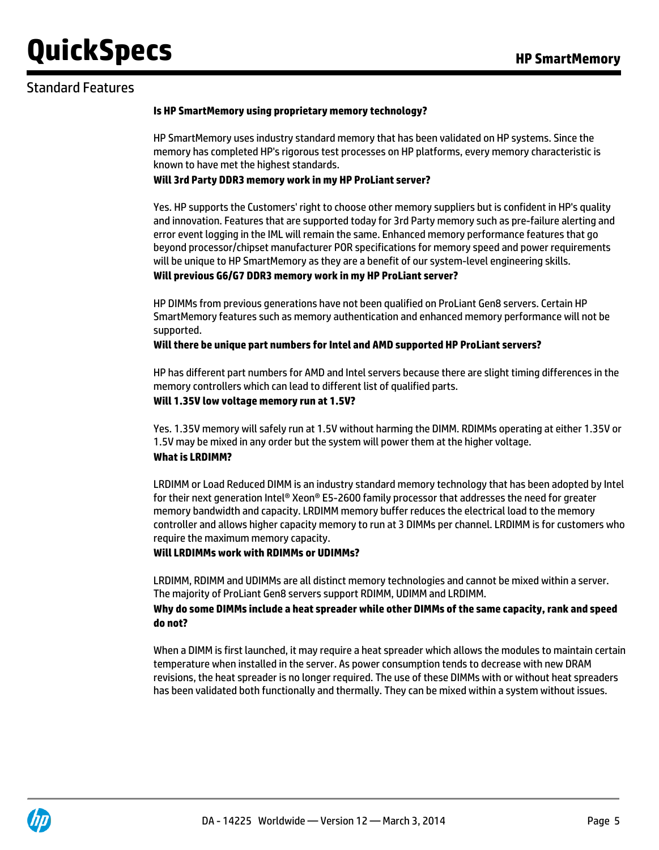### Standard Features

#### **Is HP SmartMemory using proprietary memory technology?**

HP SmartMemory uses industry standard memory that has been validated on HP systems. Since the memory has completed HP's rigorous test processes on HP platforms, every memory characteristic is known to have met the highest standards.

#### **Will 3rd Party DDR3 memory work in my HP ProLiant server?**

Yes. HP supports the Customers' right to choose other memory suppliers but is confident in HP's quality and innovation. Features that are supported today for 3rd Party memory such as pre-failure alerting and error event logging in the IML will remain the same. Enhanced memory performance features that go beyond processor/chipset manufacturer POR specifications for memory speed and power requirements will be unique to HP SmartMemory as they are a benefit of our system-level engineering skills.

#### **Will previous G6/G7 DDR3 memory work in my HP ProLiant server?**

HP DIMMs from previous generations have not been qualified on ProLiant Gen8 servers. Certain HP SmartMemory features such as memory authentication and enhanced memory performance will not be supported.

#### **Will there be unique part numbers for Intel and AMD supported HP ProLiant servers?**

HP has different part numbers for AMD and Intel servers because there are slight timing differences in the memory controllers which can lead to different list of qualified parts.

#### **Will 1.35V low voltage memory run at 1.5V?**

Yes. 1.35V memory will safely run at 1.5V without harming the DIMM. RDIMMs operating at either 1.35V or 1.5V may be mixed in any order but the system will power them at the higher voltage.

### **What is LRDIMM?**

LRDIMM or Load Reduced DIMM is an industry standard memory technology that has been adopted by Intel for their next generation Intel® Xeon® E5-2600 family processor that addresses the need for greater memory bandwidth and capacity. LRDIMM memory buffer reduces the electrical load to the memory controller and allows higher capacity memory to run at 3 DIMMs per channel. LRDIMM is for customers who require the maximum memory capacity.

### **Will LRDIMMs work with RDIMMs or UDIMMs?**

LRDIMM, RDIMM and UDIMMs are all distinct memory technologies and cannot be mixed within a server. The majority of ProLiant Gen8 servers support RDIMM, UDIMM and LRDIMM.

### **Why do some DIMMs include a heat spreader while other DIMMs of the same capacity, rank and speed do not?**

When a DIMM is first launched, it may require a heat spreader which allows the modules to maintain certain temperature when installed in the server. As power consumption tends to decrease with new DRAM revisions, the heat spreader is no longer required. The use of these DIMMs with or without heat spreaders has been validated both functionally and thermally. They can be mixed within a system without issues.

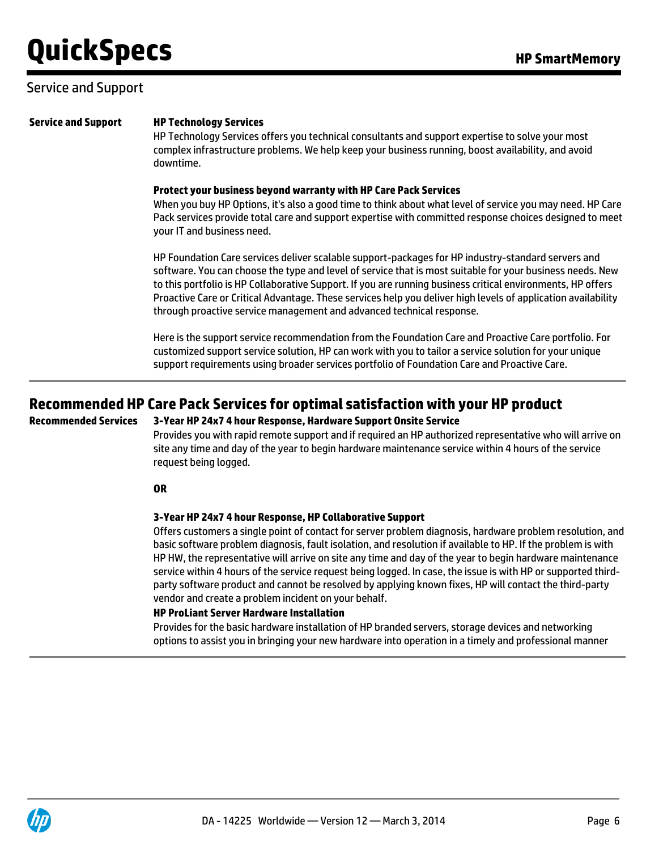### Service and Support

HP Technology Services offers you technical consultants and support expertise to solve your most complex infrastructure problems. We help keep your business running, boost availability, and avoid downtime.

#### **Protect your business beyond warranty with HP Care Pack Services**

When you buy HP Options, it's also a good time to think about what level of service you may need. HP Care Pack services provide total care and support expertise with committed response choices designed to meet your IT and business need.

HP Foundation Care services deliver scalable support-packages for HP industry-standard servers and software. You can choose the type and level of service that is most suitable for your business needs. New to this portfolio is HP Collaborative Support. If you are running business critical environments, HP offers Proactive Care or Critical Advantage. These services help you deliver high levels of application availability through proactive service management and advanced technical response.

Here is the support service recommendation from the Foundation Care and Proactive Care portfolio. For customized support service solution, HP can work with you to tailor a service solution for your unique support requirements using broader services portfolio of Foundation Care and Proactive Care.

### **Recommended HP Care Pack Services for optimal satisfaction with your HP product**

### **Recommended Services 3-Year HP 24x7 4 hour Response, Hardware Support Onsite Service**

Provides you with rapid remote support and if required an HP authorized representative who will arrive on site any time and day of the year to begin hardware maintenance service within 4 hours of the service request being logged.

#### **OR**

#### **3-Year HP 24x7 4 hour Response, HP Collaborative Support**

Offers customers a single point of contact for server problem diagnosis, hardware problem resolution, and basic software problem diagnosis, fault isolation, and resolution if available to HP. If the problem is with HP HW, the representative will arrive on site any time and day of the year to begin hardware maintenance service within 4 hours of the service request being logged. In case, the issue is with HP or supported thirdparty software product and cannot be resolved by applying known fixes, HP will contact the third-party vendor and create a problem incident on your behalf.

#### **HP ProLiant Server Hardware Installation**

Provides for the basic hardware installation of HP branded servers, storage devices and networking options to assist you in bringing your new hardware into operation in a timely and professional manner

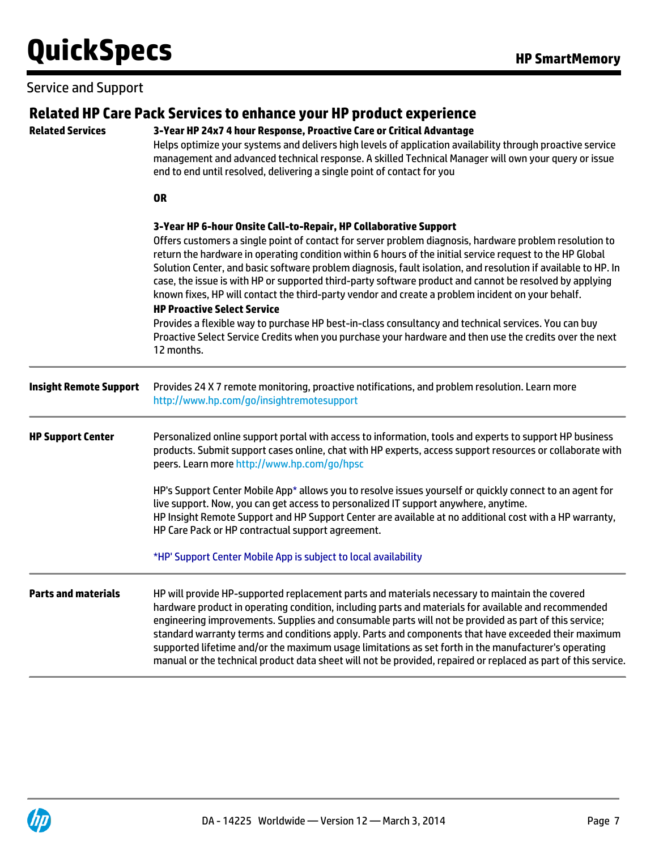# Service and Support

| <b>Related Services</b>       | Related HP Care Pack Services to enhance your HP product experience<br>3-Year HP 24x7 4 hour Response, Proactive Care or Critical Advantage<br>Helps optimize your systems and delivers high levels of application availability through proactive service<br>management and advanced technical response. A skilled Technical Manager will own your query or issue<br>end to end until resolved, delivering a single point of contact for you                                                                                                                                                                                                                                                                                                                            |  |  |  |  |  |  |  |  |
|-------------------------------|-------------------------------------------------------------------------------------------------------------------------------------------------------------------------------------------------------------------------------------------------------------------------------------------------------------------------------------------------------------------------------------------------------------------------------------------------------------------------------------------------------------------------------------------------------------------------------------------------------------------------------------------------------------------------------------------------------------------------------------------------------------------------|--|--|--|--|--|--|--|--|
|                               | <b>OR</b>                                                                                                                                                                                                                                                                                                                                                                                                                                                                                                                                                                                                                                                                                                                                                               |  |  |  |  |  |  |  |  |
|                               | 3-Year HP 6-hour Onsite Call-to-Repair, HP Collaborative Support<br>Offers customers a single point of contact for server problem diagnosis, hardware problem resolution to<br>return the hardware in operating condition within 6 hours of the initial service request to the HP Global<br>Solution Center, and basic software problem diagnosis, fault isolation, and resolution if available to HP. In<br>case, the issue is with HP or supported third-party software product and cannot be resolved by applying<br>known fixes, HP will contact the third-party vendor and create a problem incident on your behalf.<br><b>HP Proactive Select Service</b><br>Provides a flexible way to purchase HP best-in-class consultancy and technical services. You can buy |  |  |  |  |  |  |  |  |
|                               | Proactive Select Service Credits when you purchase your hardware and then use the credits over the next<br>12 months.                                                                                                                                                                                                                                                                                                                                                                                                                                                                                                                                                                                                                                                   |  |  |  |  |  |  |  |  |
| <b>Insight Remote Support</b> | Provides 24 X 7 remote monitoring, proactive notifications, and problem resolution. Learn more<br>http://www.hp.com/go/insightremotesupport                                                                                                                                                                                                                                                                                                                                                                                                                                                                                                                                                                                                                             |  |  |  |  |  |  |  |  |
| <b>HP Support Center</b>      | Personalized online support portal with access to information, tools and experts to support HP business<br>products. Submit support cases online, chat with HP experts, access support resources or collaborate with<br>peers. Learn more http://www.hp.com/go/hpsc                                                                                                                                                                                                                                                                                                                                                                                                                                                                                                     |  |  |  |  |  |  |  |  |
|                               | HP's Support Center Mobile App* allows you to resolve issues yourself or quickly connect to an agent for<br>live support. Now, you can get access to personalized IT support anywhere, anytime.<br>HP Insight Remote Support and HP Support Center are available at no additional cost with a HP warranty,<br>HP Care Pack or HP contractual support agreement.                                                                                                                                                                                                                                                                                                                                                                                                         |  |  |  |  |  |  |  |  |
|                               | *HP' Support Center Mobile App is subject to local availability                                                                                                                                                                                                                                                                                                                                                                                                                                                                                                                                                                                                                                                                                                         |  |  |  |  |  |  |  |  |
| <b>Parts and materials</b>    | HP will provide HP-supported replacement parts and materials necessary to maintain the covered<br>hardware product in operating condition, including parts and materials for available and recommended<br>engineering improvements. Supplies and consumable parts will not be provided as part of this service;<br>standard warranty terms and conditions apply. Parts and components that have exceeded their maximum<br>supported lifetime and/or the maximum usage limitations as set forth in the manufacturer's operating<br>manual or the technical product data sheet will not be provided, repaired or replaced as part of this service.                                                                                                                        |  |  |  |  |  |  |  |  |

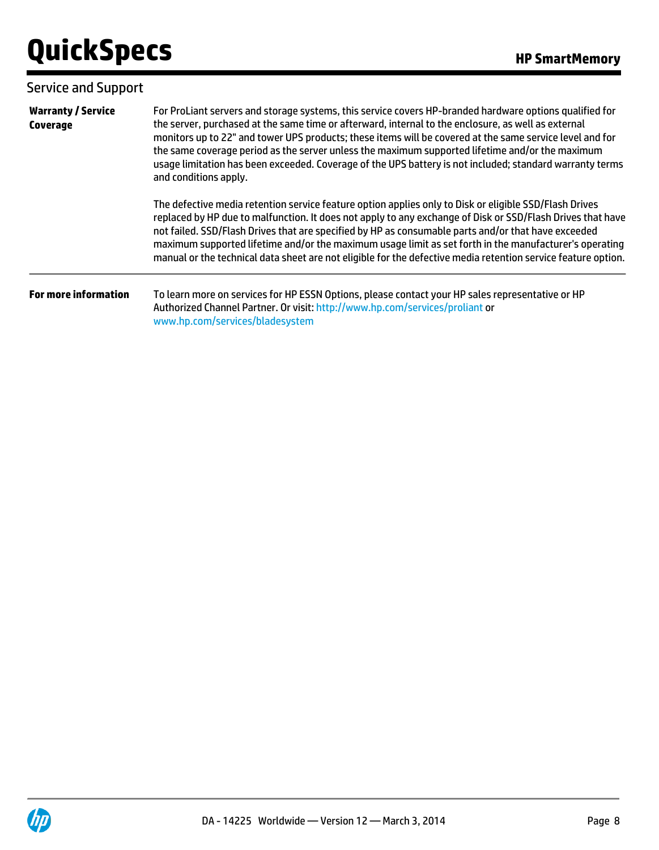| <b>Service and Support</b>            |                                                                                                                                                                                                                                                                                                                                                                                                                                                                                                                                                                    |
|---------------------------------------|--------------------------------------------------------------------------------------------------------------------------------------------------------------------------------------------------------------------------------------------------------------------------------------------------------------------------------------------------------------------------------------------------------------------------------------------------------------------------------------------------------------------------------------------------------------------|
| <b>Warranty / Service</b><br>Coverage | For ProLiant servers and storage systems, this service covers HP-branded hardware options qualified for<br>the server, purchased at the same time or afterward, internal to the enclosure, as well as external<br>monitors up to 22" and tower UPS products; these items will be covered at the same service level and for<br>the same coverage period as the server unless the maximum supported lifetime and/or the maximum<br>usage limitation has been exceeded. Coverage of the UPS battery is not included; standard warranty terms<br>and conditions apply. |
|                                       | The defective media retention service feature option applies only to Disk or eligible SSD/Flash Drives<br>replaced by HP due to malfunction. It does not apply to any exchange of Disk or SSD/Flash Drives that have<br>not failed. SSD/Flash Drives that are specified by HP as consumable parts and/or that have exceeded<br>maximum supported lifetime and/or the maximum usage limit as set forth in the manufacturer's operating<br>manual or the technical data sheet are not eligible for the defective media retention service feature option.             |
| <b>For more information</b>           | To learn more on services for HP ESSN Options, please contact your HP sales representative or HP<br>Authorized Channel Partner. Or visit: http://www.hp.com/services/proliant or<br>www.hp.com/services/bladesystem                                                                                                                                                                                                                                                                                                                                                |

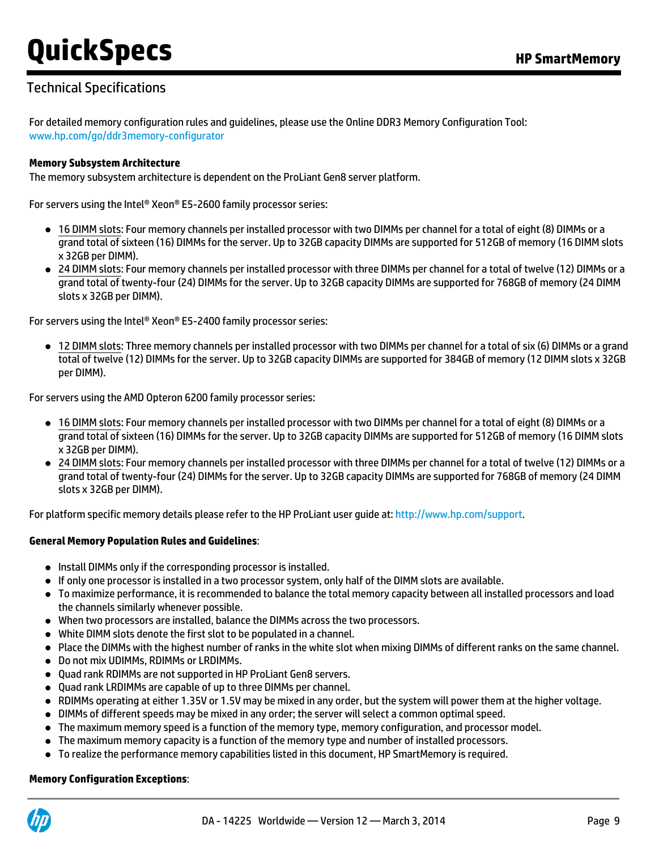# Technical Specifications

For detailed memory configuration rules and guidelines, please use the Online DDR3 Memory Configuration Tool: [www.hp.com/go/ddr3memory-configurator](http://www.hp.com/go/ddr3memory-configurator)

#### **Memory Subsystem Architecture**

The memory subsystem architecture is dependent on the ProLiant Gen8 server platform.

For servers using the Intel® Xeon® E5-2600 family processor series:

- 16 DIMM slots: Four memory channels per installed processor with two DIMMs per channel for a total of eight (8) DIMMs or a grand total of sixteen (16) DIMMs for the server. Up to 32GB capacity DIMMs are supported for 512GB of memory (16 DIMM slots x 32GB per DIMM).
- 24 DIMM slots: Four memory channels per installed processor with three DIMMs per channel for a total of twelve (12) DIMMs or a grand total of twenty-four (24) DIMMs for the server. Up to 32GB capacity DIMMs are supported for 768GB of memory (24 DIMM slots x 32GB per DIMM).

For servers using the Intel® Xeon® E5-2400 family processor series:

12 DIMM slots: Three memory channels per installed processor with two DIMMs per channel for a total of six (6) DIMMs or a grand total of twelve (12) DIMMs for the server. Up to 32GB capacity DIMMs are supported for 384GB of memory (12 DIMM slots x 32GB per DIMM).

For servers using the AMD Opteron 6200 family processor series:

- 16 DIMM slots: Four memory channels per installed processor with two DIMMs per channel for a total of eight (8) DIMMs or a grand total of sixteen (16) DIMMs for the server. Up to 32GB capacity DIMMs are supported for 512GB of memory (16 DIMM slots x 32GB per DIMM).
- 24 DIMM slots: Four memory channels per installed processor with three DIMMs per channel for a total of twelve (12) DIMMs or a grand total of twenty-four (24) DIMMs for the server. Up to 32GB capacity DIMMs are supported for 768GB of memory (24 DIMM slots x 32GB per DIMM).

For platform specific memory details please refer to the HP ProLiant user guide at: [http://www.hp.com/support.](http://www.hp.com/support)

#### **General Memory Population Rules and Guidelines**:

- Install DIMMs only if the corresponding processor is installed.
- If only one processor is installed in a two processor system, only half of the DIMM slots are available.
- To maximize performance, it is recommended to balance the total memory capacity between all installed processors and load the channels similarly whenever possible.
- When two processors are installed, balance the DIMMs across the two processors.
- White DIMM slots denote the first slot to be populated in a channel.
- Place the DIMMs with the highest number of ranks in the white slot when mixing DIMMs of different ranks on the same channel.
- Do not mix UDIMMs, RDIMMs or LRDIMMs.
- Quad rank RDIMMs are not supported in HP ProLiant Gen8 servers.
- Quad rank LRDIMMs are capable of up to three DIMMs per channel.
- RDIMMs operating at either 1.35V or 1.5V may be mixed in any order, but the system will power them at the higher voltage.
- DIMMs of different speeds may be mixed in any order; the server will select a common optimal speed.
- The maximum memory speed is a function of the memory type, memory configuration, and processor model.
- The maximum memory capacity is a function of the memory type and number of installed processors.
- To realize the performance memory capabilities listed in this document, HP SmartMemory is required.

#### **Memory Configuration Exceptions**:

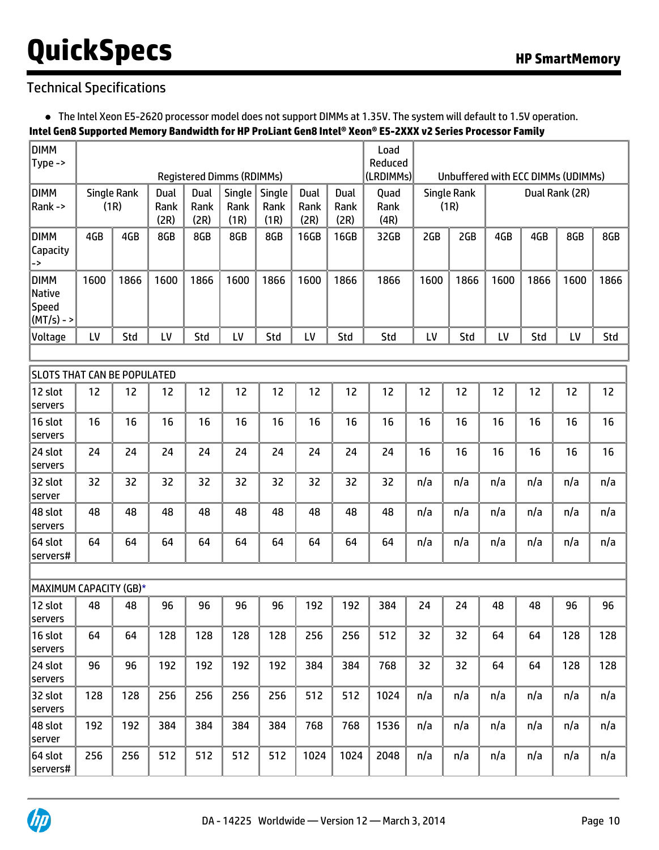# Technical Specifications

The Intel Xeon E5-2620 processor model does not support DIMMs at 1.35V. The system will default to 1.5V operation.

### **Intel Gen8 Supported Memory Bandwidth for HP ProLiant Gen8 Intel® Xeon® E5-2XXX v2 Series Processor Family**

| <b>DIMM</b>                                              |      |                     |                      |                      |                                  |                        |                      |                      | Load                 |      |                                    |      |                |      |      |
|----------------------------------------------------------|------|---------------------|----------------------|----------------------|----------------------------------|------------------------|----------------------|----------------------|----------------------|------|------------------------------------|------|----------------|------|------|
| Type ->                                                  |      |                     |                      |                      | <b>Registered Dimms (RDIMMs)</b> |                        |                      |                      | Reduced<br>(LRDIMMs) |      | Unbuffered with ECC DIMMs (UDIMMs) |      |                |      |      |
| <b>DIMM</b><br>Rank->                                    |      | Single Rank<br>(1R) | Dual<br>Rank<br>(2R) | Dual<br>Rank<br>(2R) | Single<br>Rank<br>(1R)           | Single<br>Rank<br>(1R) | Dual<br>Rank<br>(2R) | Dual<br>Rank<br>(2R) | Quad<br>Rank<br>(4R) |      | <b>Single Rank</b><br>(1R)         |      | Dual Rank (2R) |      |      |
| <b>DIMM</b><br>Capacity<br>->                            | 4GB  | 4GB                 | 8GB                  | 8GB                  | 8GB                              | 8GB                    | 16GB                 | 16GB                 | 32GB                 | 2GB  | 2GB                                | 4GB  | 4GB            | 8GB  | 8GB  |
| <b>DIMM</b><br><b>Native</b><br>Speed<br>$(MT/s) - >$    | 1600 | 1866                | 1600                 | 1866                 | 1600                             | 1866                   | 1600                 | 1866                 | 1866                 | 1600 | 1866                               | 1600 | 1866           | 1600 | 1866 |
| Voltage                                                  | LV   | Std                 | LV                   | Std                  | LV                               | Std                    | LV                   | Std                  | Std                  | LV   | Std                                | LV   | Std            | LV   | Std  |
|                                                          |      |                     |                      |                      |                                  |                        |                      |                      |                      |      |                                    |      |                |      |      |
| <b>SLOTS THAT CAN BE POPULATED</b><br>12 slot<br>servers | 12   | 12                  | 12                   | 12                   | 12                               | 12                     | 12                   | 12                   | 12                   | 12   | 12                                 | 12   | 12             | 12   | 12   |
| 16 slot<br>servers                                       | 16   | 16                  | 16                   | 16                   | 16                               | 16                     | 16                   | 16                   | 16                   | 16   | 16                                 | 16   | 16             | 16   | 16   |
| 24 slot<br>servers                                       | 24   | 24                  | 24                   | 24                   | 24                               | 24                     | 24                   | 24                   | 24                   | 16   | 16                                 | 16   | 16             | 16   | 16   |
| 32 slot<br>server                                        | 32   | 32                  | 32                   | 32                   | 32                               | 32                     | 32                   | 32                   | 32                   | n/a  | n/a                                | n/a  | n/a            | n/a  | n/a  |
| 48 slot<br>servers                                       | 48   | 48                  | 48                   | 48                   | 48                               | 48                     | 48                   | 48                   | 48                   | n/a  | n/a                                | n/a  | n/a            | n/a  | n/a  |
| 64 slot<br>servers#                                      | 64   | 64                  | 64                   | 64                   | 64                               | 64                     | 64                   | 64                   | 64                   | n/a  | n/a                                | n/a  | n/a            | n/a  | n/a  |
| MAXIMUM CAPACITY (GB)*                                   |      |                     |                      |                      |                                  |                        |                      |                      |                      |      |                                    |      |                |      |      |
| 12 slot<br>servers                                       | 48   | 48                  | 96                   | 96                   | 96                               | 96                     | 192                  | 192                  | 384                  | 24   | 24                                 | 48   | 48             | 96   | 96   |
| $ 16$ slot<br>servers                                    | 64   | 64                  | 128                  | 128                  | 128                              | 128                    | 256                  | 256                  | 512                  | 32   | 32                                 | 64   | 64             | 128  | 128  |
| 24 slot<br>servers                                       | 96   | 96                  | 192                  | 192                  | 192                              | 192                    | 384                  | 384                  | 768                  | 32   | 32                                 | 64   | 64             | 128  | 128  |
| 32 slot<br>servers                                       | 128  | 128                 | 256                  | 256                  | 256                              | 256                    | 512                  | 512                  | 1024                 | n/a  | n/a                                | n/a  | n/a            | n/a  | n/a  |
| 48 slot<br>server                                        | 192  | 192                 | 384                  | 384                  | 384                              | 384                    | 768                  | 768                  | 1536                 | n/a  | n/a                                | n/a  | n/a            | n/a  | n/a  |
| 64 slot<br>servers#                                      | 256  | 256                 | 512                  | 512                  | 512                              | 512                    | 1024                 | 1024                 | 2048                 | n/a  | n/a                                | n/a  | n/a            | n/a  | n/a  |

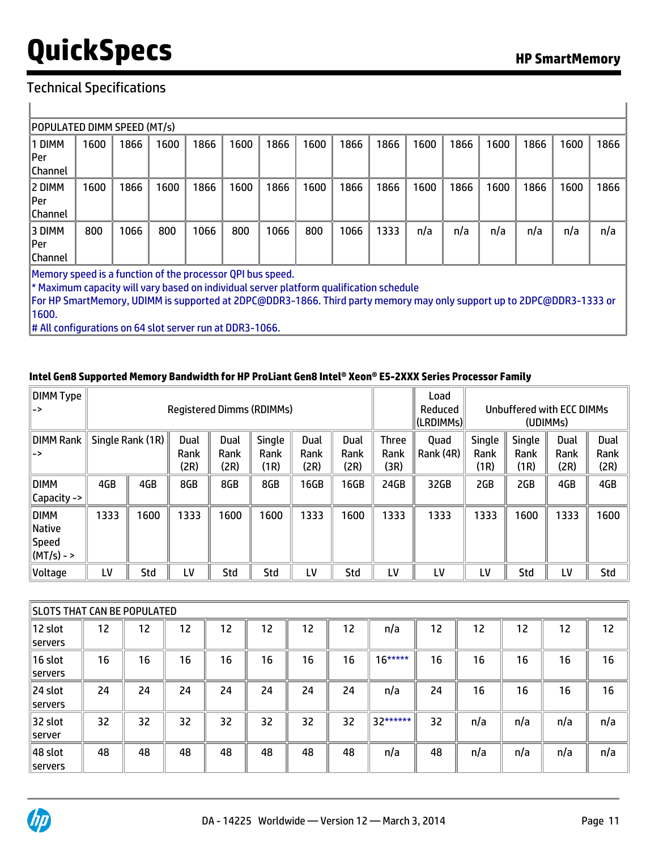### Technical Specifications

 $\mathbf{r}$ 

| POPULATED DIMM SPEED (MT/s)                                                                  |      |      |      |      |      |      |      |      |      |      |      |      |      |      |      |
|----------------------------------------------------------------------------------------------|------|------|------|------|------|------|------|------|------|------|------|------|------|------|------|
| 1 DIMM                                                                                       | 1600 | 1866 | 1600 | 1866 | 1600 | 1866 | 1600 | 1866 | 1866 | 1600 | 1866 | 1600 | 1866 | 1600 | 1866 |
| Per                                                                                          |      |      |      |      |      |      |      |      |      |      |      |      |      |      |      |
| Channel                                                                                      |      |      |      |      |      |      |      |      |      |      |      |      |      |      |      |
| 2 DIMM                                                                                       | 1600 | 1866 | 1600 | 1866 | 1600 | 1866 | 1600 | 1866 | 1866 | 1600 | 1866 | 1600 | 1866 | 1600 | 1866 |
| Per                                                                                          |      |      |      |      |      |      |      |      |      |      |      |      |      |      |      |
| Channel                                                                                      |      |      |      |      |      |      |      |      |      |      |      |      |      |      |      |
| 3 DIMM                                                                                       | 800  | 1066 | 800  | 1066 | 800  | 1066 | 800  | 1066 | 1333 | n/a  | n/a  | n/a  | n/a  | n/a  | n/a  |
| Per                                                                                          |      |      |      |      |      |      |      |      |      |      |      |      |      |      |      |
| Channel                                                                                      |      |      |      |      |      |      |      |      |      |      |      |      |      |      |      |
| Memory speed is a function of the processor QPI bus speed.                                   |      |      |      |      |      |      |      |      |      |      |      |      |      |      |      |
| $\ast$ Maximum capacity will vary based on individual server platform qualification schedule |      |      |      |      |      |      |      |      |      |      |      |      |      |      |      |

For HP SmartMemory, UDIMM is supported at 2DPC@DDR3-1866. Third party memory may only support up to 2DPC@DDR3-1333 or 1600.

# All configurations on 64 slot server run at DDR3-1066.

#### **Intel Gen8 Supported Memory Bandwidth for HP ProLiant Gen8 Intel® Xeon® E5-2XXX Series Processor Family**

| DIMM Type<br>∥–>                                 |      |                  |                      |                      | <b>Registered Dimms (RDIMMs)</b> |                      |                      | Load<br>Reduced<br>(LRDIMMs) |                   | Unbuffered with ECC DIMMs<br>(UDIMM <sub>S</sub> ) |                               |                      |                      |
|--------------------------------------------------|------|------------------|----------------------|----------------------|----------------------------------|----------------------|----------------------|------------------------------|-------------------|----------------------------------------------------|-------------------------------|----------------------|----------------------|
| ∥DIMM Rank<br>∥–>                                |      | Single Rank (1R) | Dual<br>Rank<br>(2R) | Dual<br>Rank<br>(2R) | <b>Single</b><br>Rank<br>(1R)    | Dual<br>Rank<br>(2R) | Dual<br>Rank<br>(2R) | <b>Three</b><br>Rank<br>(3R) | Quad<br>Rank (4R) | Single<br>Rank<br>(1R)                             | <b>Single</b><br>Rank<br>(1R) | Dual<br>Rank<br>(2R) | Dual<br>Rank<br>(2R) |
| ∥DIMM<br>  Capacity ->                           | 4GB  | 4GB              | 8GB                  | 8GB                  | 8GB                              | 16GB                 | 16GB                 | 24GB                         | 32GB              | 2GB                                                | 2GB                           | 4GB                  | 4GB                  |
| ∥DIMM<br>$\ $ Native<br>Speed<br>$\ $ (MT/s) - > | 1333 | 1600             | 1333                 | 1600                 | 1600                             | 1333                 | 1600                 | 1333                         | 1333              | 1333                                               | 1600                          | 1333                 | 1600                 |
| Voltage                                          | LV   | Std              | LV                   | Std                  | Std                              | LV                   | Std                  | LV                           | LV                | LV                                                 | Std                           | LV                   | Std                  |

| ISLOTS THAT CAN BE POPULATED |    |    |    |    |    |    |    |           |    |     |     |     |     |
|------------------------------|----|----|----|----|----|----|----|-----------|----|-----|-----|-----|-----|
| 12 slot<br> servers          | 12 | 12 | 12 | 12 | 12 | 12 | 12 | n/a       | 12 | 12  | 12  | 12  | 12  |
| 16 slot<br><b>servers</b>    | 16 | 16 | 16 | 16 | 16 | 16 | 16 | $16***$   | 16 | 16  | 16  | 16  | 16  |
| 24 slot<br>servers           | 24 | 24 | 24 | 24 | 24 | 24 | 24 | n/a       | 24 | 16  | 16  | 16  | 16  |
| 32 slot<br><b>server</b>     | 32 | 32 | 32 | 32 | 32 | 32 | 32 | $32*****$ | 32 | n/a | n/a | n/a | n/a |
| 48 slot<br><b>servers</b>    | 48 | 48 | 48 | 48 | 48 | 48 | 48 | n/a       | 48 | n/a | n/a | n/a | n/a |

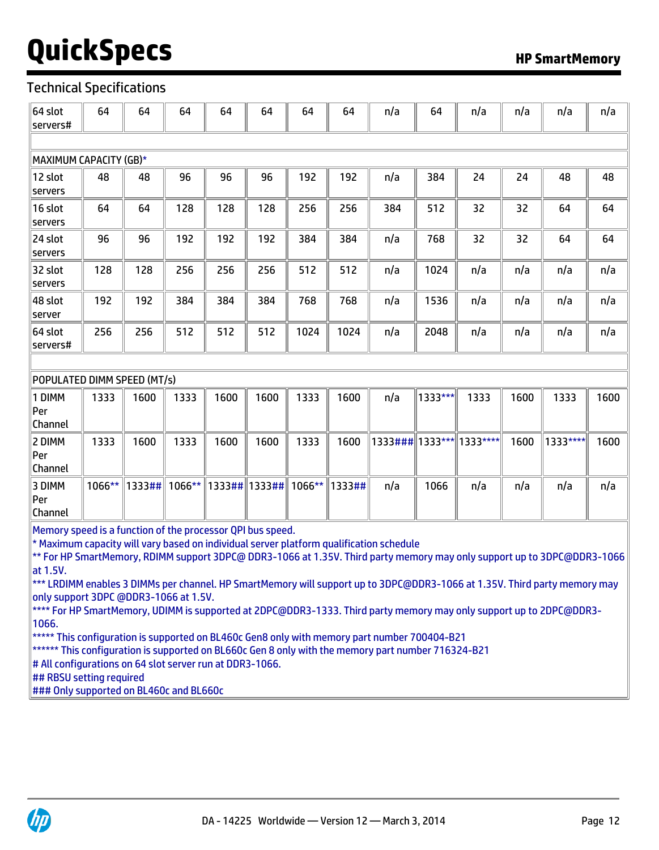### Technical Specifications

| 64 slot<br>servers#                                                                                                                                                                                                                                                                                                                                                                                                                                                | 64        | 64     | 64     | 64                           | 64   | 64     | 64     | n/a                        | 64      | n/a  | n/a  | n/a      | n/a  |
|--------------------------------------------------------------------------------------------------------------------------------------------------------------------------------------------------------------------------------------------------------------------------------------------------------------------------------------------------------------------------------------------------------------------------------------------------------------------|-----------|--------|--------|------------------------------|------|--------|--------|----------------------------|---------|------|------|----------|------|
|                                                                                                                                                                                                                                                                                                                                                                                                                                                                    |           |        |        |                              |      |        |        |                            |         |      |      |          |      |
| MAXIMUM CAPACITY (GB)*                                                                                                                                                                                                                                                                                                                                                                                                                                             |           |        |        |                              |      |        |        |                            |         |      |      |          |      |
| 12 slot<br>servers                                                                                                                                                                                                                                                                                                                                                                                                                                                 | 48        | 48     | 96     | 96                           | 96   | 192    | 192    | n/a                        | 384     | 24   | 24   | 48       | 48   |
| 16 slot<br>servers                                                                                                                                                                                                                                                                                                                                                                                                                                                 | 64        | 64     | 128    | 128                          | 128  | 256    | 256    | 384                        | 512     | 32   | 32   | 64       | 64   |
| 24 slot<br>servers                                                                                                                                                                                                                                                                                                                                                                                                                                                 | 96        | 96     | 192    | 192                          | 192  | 384    | 384    | n/a                        | 768     | 32   | 32   | 64       | 64   |
| 32 slot<br>servers                                                                                                                                                                                                                                                                                                                                                                                                                                                 | 128       | 128    | 256    | 256                          | 256  | 512    | 512    | n/a                        | 1024    | n/a  | n/a  | n/a      | n/a  |
| 48 slot<br>server                                                                                                                                                                                                                                                                                                                                                                                                                                                  | 192       | 192    | 384    | 384                          | 384  | 768    | 768    | n/a                        | 1536    | n/a  | n/a  | n/a      | n/a  |
| 64 slot<br>servers#                                                                                                                                                                                                                                                                                                                                                                                                                                                | 256       | 256    | 512    | 512                          | 512  | 1024   | 1024   | n/a                        | 2048    | n/a  | n/a  | n/a      | n/a  |
|                                                                                                                                                                                                                                                                                                                                                                                                                                                                    |           |        |        |                              |      |        |        |                            |         |      |      |          |      |
| POPULATED DIMM SPEED (MT/s)                                                                                                                                                                                                                                                                                                                                                                                                                                        |           |        |        |                              |      |        |        |                            |         |      |      |          |      |
| 1 DIMM<br>Per<br>Channel                                                                                                                                                                                                                                                                                                                                                                                                                                           | 1333      | 1600   | 1333   | 1600                         | 1600 | 1333   | 1600   | n/a                        | 1333*** | 1333 | 1600 | 1333     | 1600 |
| 2 DIMM<br>Per<br>Channel                                                                                                                                                                                                                                                                                                                                                                                                                                           | 1333      | 1600   | 1333   | 1600                         | 1600 | 1333   | 1600   | 1333###  1333***  1333**** |         |      | 1600 | 1333**** | 1600 |
| 3 DIMM<br>Per<br>Channel                                                                                                                                                                                                                                                                                                                                                                                                                                           | $1066***$ | 1333## | 1066** | $\ $ 1333## $\ $ 1333## $\ $ |      | 1066** | 1333## | n/a                        | 1066    | n/a  | n/a  | n/a      | n/a  |
| Memory speed is a function of the processor QPI bus speed.<br>* Maximum capacity will vary based on individual server platform qualification schedule<br>** For HP SmartMemory, RDIMM support 3DPC@ DDR3-1066 at 1.35V. Third party memory may only support up to 3DPC@DDR3-1066<br>at 1.5V.<br>*** LRDIMM enables 3 DIMMs per channel. HP SmartMemory will support up to 3DPC@DDR3-1066 at 1.35V. Third party memory may<br>only support 3DPC @DDR3-1066 at 1.5V. |           |        |        |                              |      |        |        |                            |         |      |      |          |      |

\*\*\*\* For HP SmartMemory, UDIMM is supported at 2DPC@DDR3-1333. Third party memory may only support up to 2DPC@DDR3- 1066.

\*\*\*\*\* This configuration is supported on BL460c Gen8 only with memory part number 700404-B21

\*\*\*\*\*\* This configuration is supported on BL660c Gen 8 only with the memory part number 716324-B21

# All configurations on 64 slot server run at DDR3-1066.

## RBSU setting required

### Only supported on BL460c and BL660c

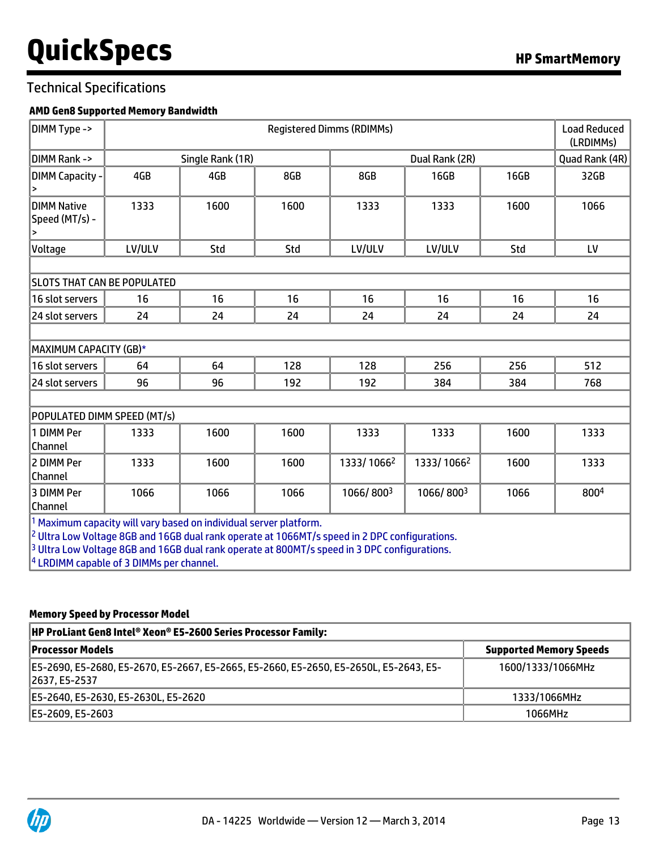### Technical Specifications

### **AMD Gen8 Supported Memory Bandwidth**

| DIMM Type ->                                                                                                                                                                                                                                                               |        | <b>Load Reduced</b><br><b>Registered Dimms (RDIMMs)</b><br>(LRDIMMs)                 |      |            |                |      |                |  |  |  |  |  |  |  |
|----------------------------------------------------------------------------------------------------------------------------------------------------------------------------------------------------------------------------------------------------------------------------|--------|--------------------------------------------------------------------------------------|------|------------|----------------|------|----------------|--|--|--|--|--|--|--|
| DIMM Rank ->                                                                                                                                                                                                                                                               |        | Single Rank (1R)                                                                     |      |            | Dual Rank (2R) |      | Quad Rank (4R) |  |  |  |  |  |  |  |
| <b>DIMM Capacity -</b>                                                                                                                                                                                                                                                     | 4GB    | 4GB                                                                                  | 8GB  | 8GB        | 16GB           | 16GB | 32GB           |  |  |  |  |  |  |  |
| <b>DIMM Native</b><br>Speed (MT/s) -<br>$\,$                                                                                                                                                                                                                               | 1333   | 1600                                                                                 | 1600 | 1333       | 1333           | 1600 | 1066           |  |  |  |  |  |  |  |
| Voltage                                                                                                                                                                                                                                                                    | LV/ULV | Std                                                                                  | Std  | LV/ULV     | LV/ULV         | Std  | LV             |  |  |  |  |  |  |  |
|                                                                                                                                                                                                                                                                            |        |                                                                                      |      |            |                |      |                |  |  |  |  |  |  |  |
| <b>SLOTS THAT CAN BE POPULATED</b>                                                                                                                                                                                                                                         |        |                                                                                      |      |            |                |      |                |  |  |  |  |  |  |  |
| 16 slot servers                                                                                                                                                                                                                                                            | 16     | 16                                                                                   | 16   | 16         | 16             | 16   | 16             |  |  |  |  |  |  |  |
| 24 slot servers                                                                                                                                                                                                                                                            | 24     | 24                                                                                   | 24   | 24         | 24             | 24   | 24             |  |  |  |  |  |  |  |
|                                                                                                                                                                                                                                                                            |        |                                                                                      |      |            |                |      |                |  |  |  |  |  |  |  |
| MAXIMUM CAPACITY (GB)*                                                                                                                                                                                                                                                     |        |                                                                                      |      |            |                |      |                |  |  |  |  |  |  |  |
| 16 slot servers                                                                                                                                                                                                                                                            | 64     | 64                                                                                   | 128  | 128        | 256            | 256  | 512            |  |  |  |  |  |  |  |
| 24 slot servers                                                                                                                                                                                                                                                            | 96     | 96                                                                                   | 192  | 192        | 384            | 384  | 768            |  |  |  |  |  |  |  |
|                                                                                                                                                                                                                                                                            |        |                                                                                      |      |            |                |      |                |  |  |  |  |  |  |  |
| POPULATED DIMM SPEED (MT/s)                                                                                                                                                                                                                                                |        |                                                                                      |      |            |                |      |                |  |  |  |  |  |  |  |
| 1 DIMM Per<br><b>Channel</b>                                                                                                                                                                                                                                               | 1333   | 1600                                                                                 | 1600 | 1333       | 1333           | 1600 | 1333           |  |  |  |  |  |  |  |
| 2 DIMM Per<br><b>Channel</b>                                                                                                                                                                                                                                               | 1333   | 1600                                                                                 | 1600 | 1333/10662 | 1333/10662     | 1600 | 1333           |  |  |  |  |  |  |  |
| 3 DIMM Per<br> Channel                                                                                                                                                                                                                                                     | 1066   | 1066                                                                                 | 1066 | 1066/8003  | 1066/8003      | 1066 | 8004           |  |  |  |  |  |  |  |
| <sup>2</sup> Ultra Low Voltage 8GB and 16GB dual rank operate at 1066MT/s speed in 2 DPC configurations.<br><sup>3</sup> Ultra Low Voltage 8GB and 16GB dual rank operate at 800MT/s speed in 3 DPC configurations.<br><sup>4</sup> LRDIMM capable of 3 DIMMs per channel. |        | $\vert$ <sup>1</sup> Maximum capacity will vary based on individual server platform. |      |            |                |      |                |  |  |  |  |  |  |  |

### **Memory Speed by Processor Model**

| <b>HP ProLiant Gen8 Intel® Xeon® E5-2600 Series Processor Family:</b>                                  |                                |
|--------------------------------------------------------------------------------------------------------|--------------------------------|
| <b>Processor Models</b>                                                                                | <b>Supported Memory Speeds</b> |
| E5-2690, E5-2680, E5-2670, E5-2667, E5-2665, E5-2660, E5-2650, E5-2650L, E5-2643, E5-<br>2637, E5-2537 | 1600/1333/1066MHz              |
| E5-2640, E5-2630, E5-2630L, E5-2620                                                                    | 1333/1066MHz                   |
| E5-2609. E5-2603                                                                                       | 1066MHz                        |

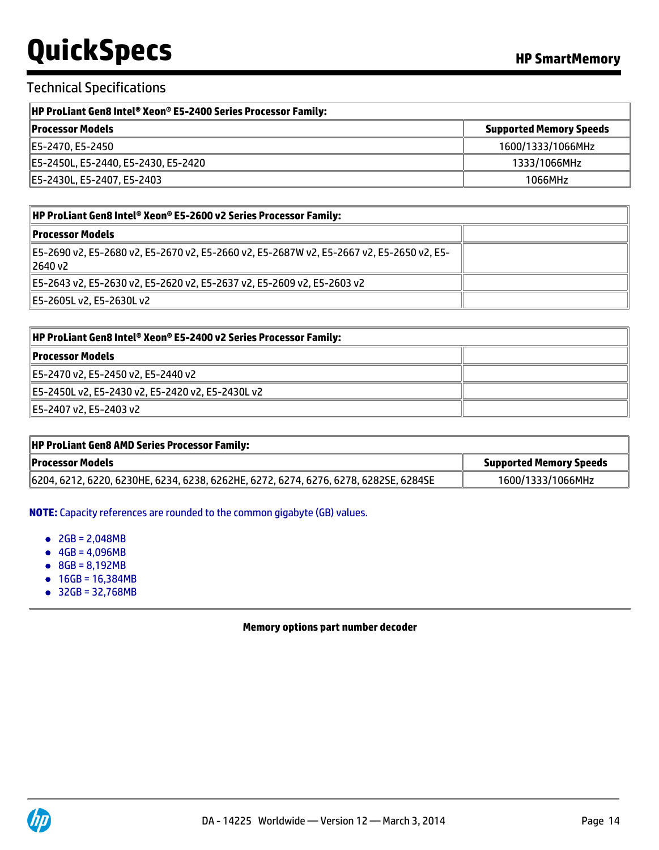### Technical Specifications

| <b>HP ProLiant Gen8 Intel® Xeon® E5-2400 Series Processor Family:</b> |                                |
|-----------------------------------------------------------------------|--------------------------------|
| <b>Processor Models</b>                                               | <b>Supported Memory Speeds</b> |
| IE5-2470. E5-2450                                                     | 1600/1333/1066MHz              |
| E5-2450L, E5-2440, E5-2430, E5-2420                                   | 1333/1066MHz                   |
| E5-2430L, E5-2407, E5-2403                                            | 1066MHz                        |

| HP ProLiant Gen8 Intel® Xeon® E5-2600 v2 Series Processor Family:                                     |  |
|-------------------------------------------------------------------------------------------------------|--|
| <b>Processor Models</b>                                                                               |  |
| ∥E5-2690 v2, E5-2680 v2, E5-2670 v2, E5-2660 v2, E5-2687W v2, E5-2667 v2, E5-2650 v2, E5-<br>∥2640 v2 |  |
| E5-2643 v2, E5-2630 v2, E5-2620 v2, E5-2637 v2, E5-2609 v2, E5-2603 v2                                |  |
| E5-2605L v2, E5-2630L v2                                                                              |  |

| HP ProLiant Gen8 Intel® Xeon® E5-2400 v2 Series Processor Family: |  |
|-------------------------------------------------------------------|--|
| Processor Models                                                  |  |
| ∥E5-2470 v2, E5-2450 v2, E5-2440 v2                               |  |
| E5-2450Lv2, E5-2430v2, E5-2420v2, E5-2430Lv2                      |  |
| E5-2407 v2, E5-2403 v2                                            |  |

| <b>HP ProLiant Gen8 AMD Series Processor Family:</b>                                 |                                |
|--------------------------------------------------------------------------------------|--------------------------------|
| <b>Processor Models</b>                                                              | <b>Supported Memory Speeds</b> |
| 6204, 6212, 6220, 6230HE, 6234, 6238, 6262HE, 6272, 6274, 6276, 6278, 6282SE, 6284SE | 1600/1333/1066MHz              |

**NOTE:** Capacity references are rounded to the common gigabyte (GB) values.

- $2GB = 2,048MB$
- $-4GB = 4,096MB$
- 8GB = 8,192MB
- 16GB = 16,384MB
- 32GB = 32,768MB

**Memory options part number decoder**